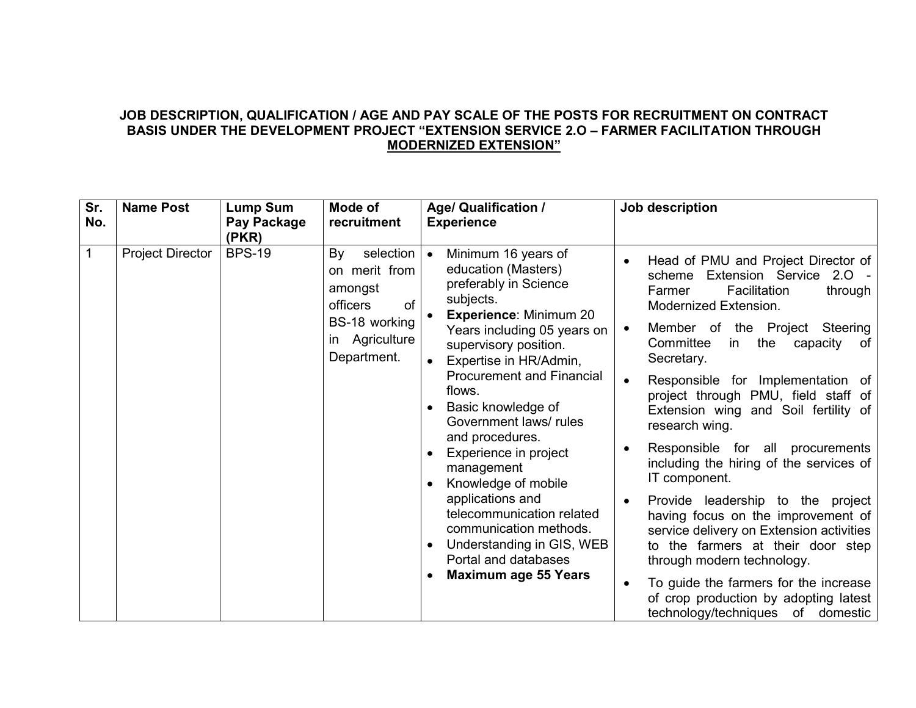## **JOB DESCRIPTION, QUALIFICATION / AGE AND PAY SCALE OF THE POSTS FOR RECRUITMENT ON CONTRACT BASIS UNDER THE DEVELOPMENT PROJECT "EXTENSION SERVICE 2.O – FARMER FACILITATION THROUGH MODERNIZED EXTENSION"**

| Sr.<br>No. | <b>Name Post</b>        | <b>Lump Sum</b><br>Pay Package                                                                           | Mode of<br>recruitment                                                                                                                            | <b>Age/ Qualification /</b><br><b>Experience</b>                                                                                                                                                                                                                                                                                                                                                                   | Job description                                                                                                                                                                                                                                                                                                                                                                                                                                                                                                                                        |
|------------|-------------------------|----------------------------------------------------------------------------------------------------------|---------------------------------------------------------------------------------------------------------------------------------------------------|--------------------------------------------------------------------------------------------------------------------------------------------------------------------------------------------------------------------------------------------------------------------------------------------------------------------------------------------------------------------------------------------------------------------|--------------------------------------------------------------------------------------------------------------------------------------------------------------------------------------------------------------------------------------------------------------------------------------------------------------------------------------------------------------------------------------------------------------------------------------------------------------------------------------------------------------------------------------------------------|
|            |                         | (PKR)                                                                                                    |                                                                                                                                                   |                                                                                                                                                                                                                                                                                                                                                                                                                    |                                                                                                                                                                                                                                                                                                                                                                                                                                                                                                                                                        |
|            | <b>Project Director</b> | <b>BPS-19</b>                                                                                            | selection  <br>By<br>on merit from<br>amongst<br>of<br><b>officers</b><br>BS-18 working<br>in Agriculture<br>Department.                          | Minimum 16 years of<br>$\bullet$<br>education (Masters)<br>preferably in Science<br>subjects.<br><b>Experience: Minimum 20</b><br>Years including 05 years on<br>supervisory position.<br>Expertise in HR/Admin,<br><b>Procurement and Financial</b><br>flows.<br>Basic knowledge of<br>Government laws/rules<br>and procedures.<br>Experience in project<br>management<br>Knowledge of mobile<br>applications and | Head of PMU and Project Director of<br>Extension Service 2.0 -<br>scheme<br>Facilitation<br>through<br>Farmer<br>Modernized Extension.<br>Member of the Project Steering<br>$\bullet$<br>Committee<br>the<br>capacity<br>in<br>of l<br>Secretary.<br>Responsible for Implementation of<br>$\bullet$<br>project through PMU, field staff of<br>Extension wing and Soil fertility of<br>research wing.<br>Responsible for all procurements<br>including the hiring of the services of<br>IT component.<br>Provide leadership to the project<br>$\bullet$ |
|            |                         | telecommunication related<br>communication methods.<br>Understanding in GIS, WEB<br>Portal and databases | having focus on the improvement of<br>service delivery on Extension activities<br>to the farmers at their door step<br>through modern technology. |                                                                                                                                                                                                                                                                                                                                                                                                                    |                                                                                                                                                                                                                                                                                                                                                                                                                                                                                                                                                        |
|            |                         |                                                                                                          |                                                                                                                                                   | <b>Maximum age 55 Years</b>                                                                                                                                                                                                                                                                                                                                                                                        | To guide the farmers for the increase<br>of crop production by adopting latest<br>technology/techniques of domestic                                                                                                                                                                                                                                                                                                                                                                                                                                    |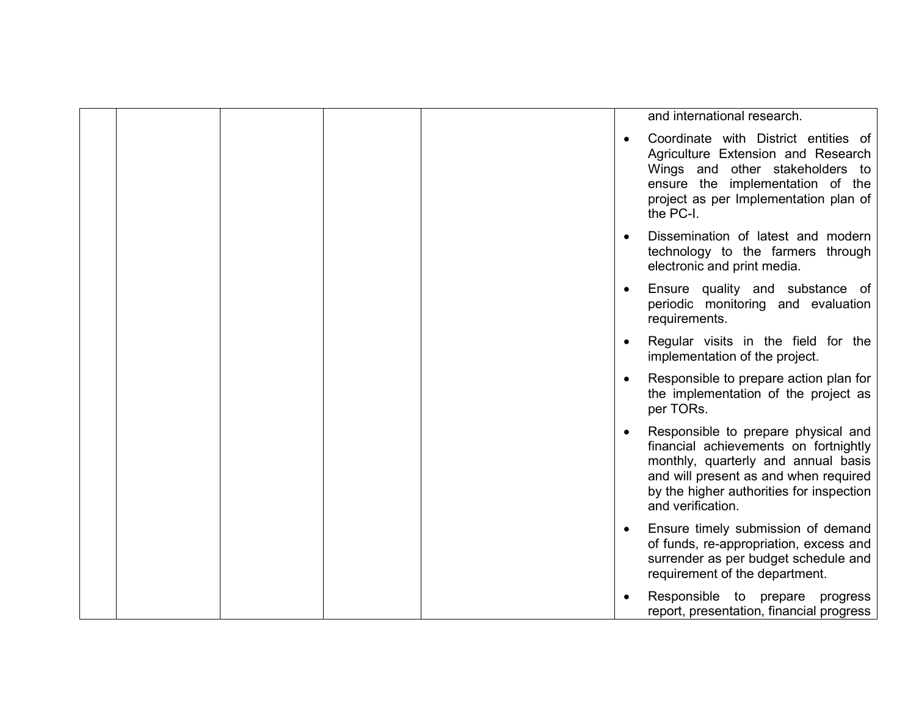|  |  |  | and international research.                                                                                                                                                                                                   |
|--|--|--|-------------------------------------------------------------------------------------------------------------------------------------------------------------------------------------------------------------------------------|
|  |  |  | Coordinate with District entities of<br>Agriculture Extension and Research<br>Wings and other stakeholders to<br>ensure the implementation of the<br>project as per Implementation plan of<br>the PC-I.                       |
|  |  |  | Dissemination of latest and modern<br>technology to the farmers through<br>electronic and print media.                                                                                                                        |
|  |  |  | Ensure quality and substance of<br>periodic monitoring and evaluation<br>requirements.                                                                                                                                        |
|  |  |  | Regular visits in the field for the<br>implementation of the project.                                                                                                                                                         |
|  |  |  | Responsible to prepare action plan for<br>the implementation of the project as<br>per TORs.                                                                                                                                   |
|  |  |  | Responsible to prepare physical and<br>financial achievements on fortnightly<br>monthly, quarterly and annual basis<br>and will present as and when required<br>by the higher authorities for inspection<br>and verification. |
|  |  |  | Ensure timely submission of demand<br>of funds, re-appropriation, excess and<br>surrender as per budget schedule and<br>requirement of the department.                                                                        |
|  |  |  | Responsible to prepare progress<br>report, presentation, financial progress                                                                                                                                                   |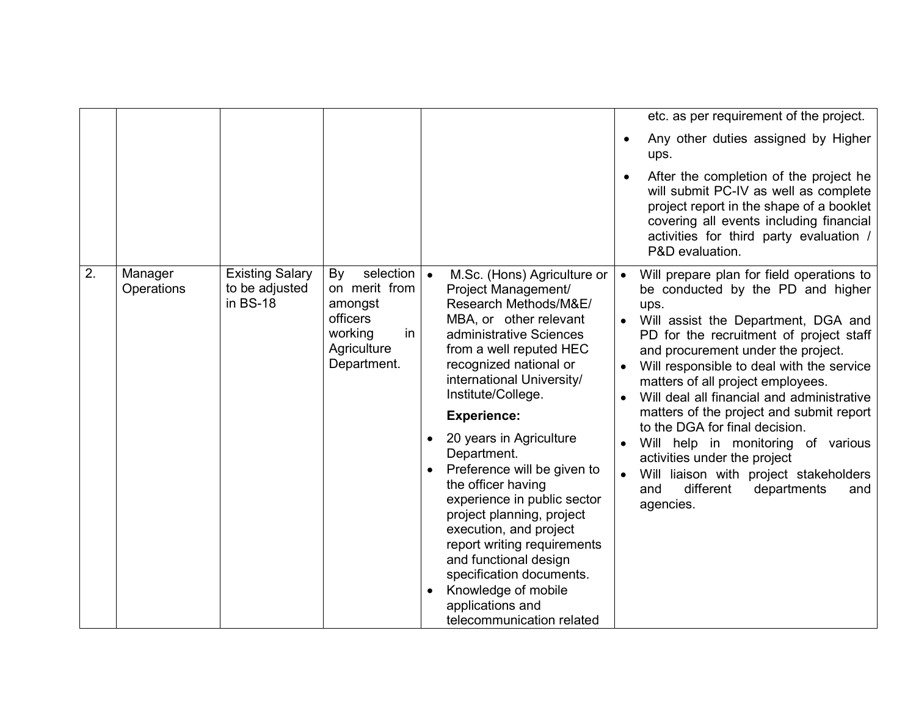|    |                       |                                                      |                                                                                                               |                                                                                                                                                                                                                                                                                                                                                                                                                                                                                                                                                                                                                                           | etc. as per requirement of the project.<br>Any other duties assigned by Higher<br>$\bullet$<br>ups.<br>After the completion of the project he<br>will submit PC-IV as well as complete<br>project report in the shape of a booklet<br>covering all events including financial                                                                                                                                                                                                                                                                                                                                                                                                               |
|----|-----------------------|------------------------------------------------------|---------------------------------------------------------------------------------------------------------------|-------------------------------------------------------------------------------------------------------------------------------------------------------------------------------------------------------------------------------------------------------------------------------------------------------------------------------------------------------------------------------------------------------------------------------------------------------------------------------------------------------------------------------------------------------------------------------------------------------------------------------------------|---------------------------------------------------------------------------------------------------------------------------------------------------------------------------------------------------------------------------------------------------------------------------------------------------------------------------------------------------------------------------------------------------------------------------------------------------------------------------------------------------------------------------------------------------------------------------------------------------------------------------------------------------------------------------------------------|
| 2. | Manager<br>Operations | <b>Existing Salary</b><br>to be adjusted<br>in BS-18 | selection<br>By<br>on merit from<br>amongst<br><b>officers</b><br>working<br>in<br>Agriculture<br>Department. | $\bullet$<br>M.Sc. (Hons) Agriculture or<br>Project Management/<br>Research Methods/M&E/<br>MBA, or other relevant<br>administrative Sciences<br>from a well reputed HEC<br>recognized national or<br>international University/<br>Institute/College.<br><b>Experience:</b><br>20 years in Agriculture<br>$\bullet$<br>Department.<br>Preference will be given to<br>the officer having<br>experience in public sector<br>project planning, project<br>execution, and project<br>report writing requirements<br>and functional design<br>specification documents.<br>Knowledge of mobile<br>applications and<br>telecommunication related | activities for third party evaluation /<br>P&D evaluation.<br>Will prepare plan for field operations to<br>$\bullet$<br>be conducted by the PD and higher<br>ups.<br>Will assist the Department, DGA and<br>PD for the recruitment of project staff<br>and procurement under the project.<br>Will responsible to deal with the service<br>matters of all project employees.<br>Will deal all financial and administrative<br>matters of the project and submit report<br>to the DGA for final decision.<br>Will help in monitoring of various<br>activities under the project<br>Will liaison with project stakeholders<br>$\bullet$<br>different<br>departments<br>and<br>and<br>agencies. |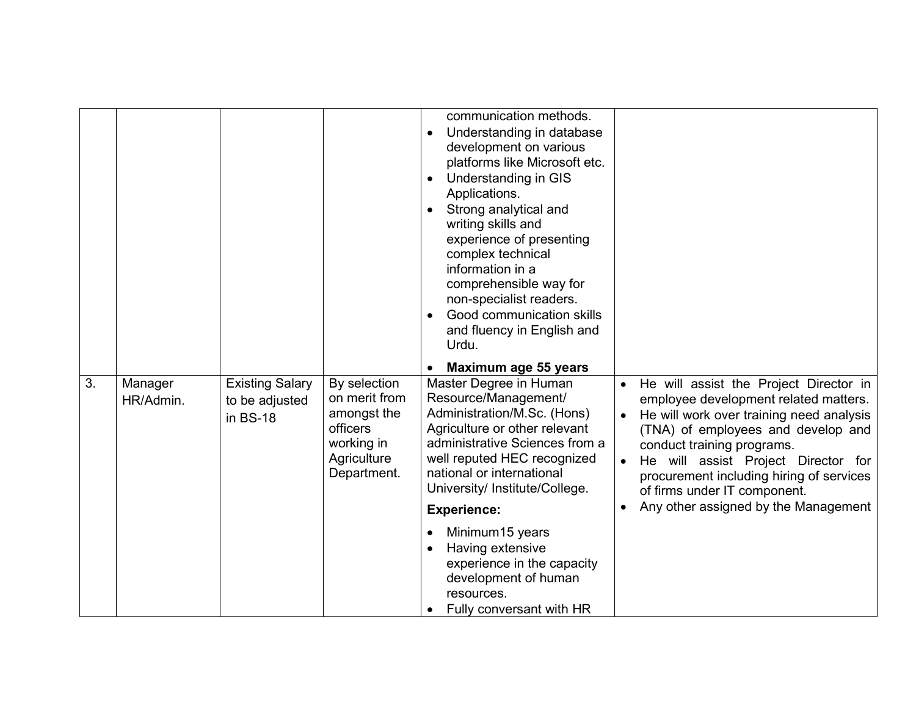|    |                      |                                                      |                                                                                                      | communication methods.<br>Understanding in database<br>development on various<br>platforms like Microsoft etc.<br>Understanding in GIS<br>$\bullet$<br>Applications.<br>Strong analytical and<br>writing skills and<br>experience of presenting<br>complex technical<br>information in a<br>comprehensible way for<br>non-specialist readers.<br>Good communication skills<br>and fluency in English and<br>Urdu. |                                                                                                                                                                                                                                                                                                                                                            |
|----|----------------------|------------------------------------------------------|------------------------------------------------------------------------------------------------------|-------------------------------------------------------------------------------------------------------------------------------------------------------------------------------------------------------------------------------------------------------------------------------------------------------------------------------------------------------------------------------------------------------------------|------------------------------------------------------------------------------------------------------------------------------------------------------------------------------------------------------------------------------------------------------------------------------------------------------------------------------------------------------------|
|    |                      |                                                      |                                                                                                      | Maximum age 55 years                                                                                                                                                                                                                                                                                                                                                                                              |                                                                                                                                                                                                                                                                                                                                                            |
| 3. | Manager<br>HR/Admin. | <b>Existing Salary</b><br>to be adjusted<br>in BS-18 | By selection<br>on merit from<br>amongst the<br>officers<br>working in<br>Agriculture<br>Department. | Master Degree in Human<br>Resource/Management/<br>Administration/M.Sc. (Hons)<br>Agriculture or other relevant<br>administrative Sciences from a<br>well reputed HEC recognized<br>national or international<br>University/ Institute/College.<br><b>Experience:</b>                                                                                                                                              | He will assist the Project Director in<br>employee development related matters.<br>He will work over training need analysis<br>(TNA) of employees and develop and<br>conduct training programs.<br>He will assist Project Director for<br>procurement including hiring of services<br>of firms under IT component.<br>Any other assigned by the Management |
|    |                      |                                                      |                                                                                                      | Minimum15 years<br>Having extensive<br>experience in the capacity<br>development of human<br>resources.<br>Fully conversant with HR                                                                                                                                                                                                                                                                               |                                                                                                                                                                                                                                                                                                                                                            |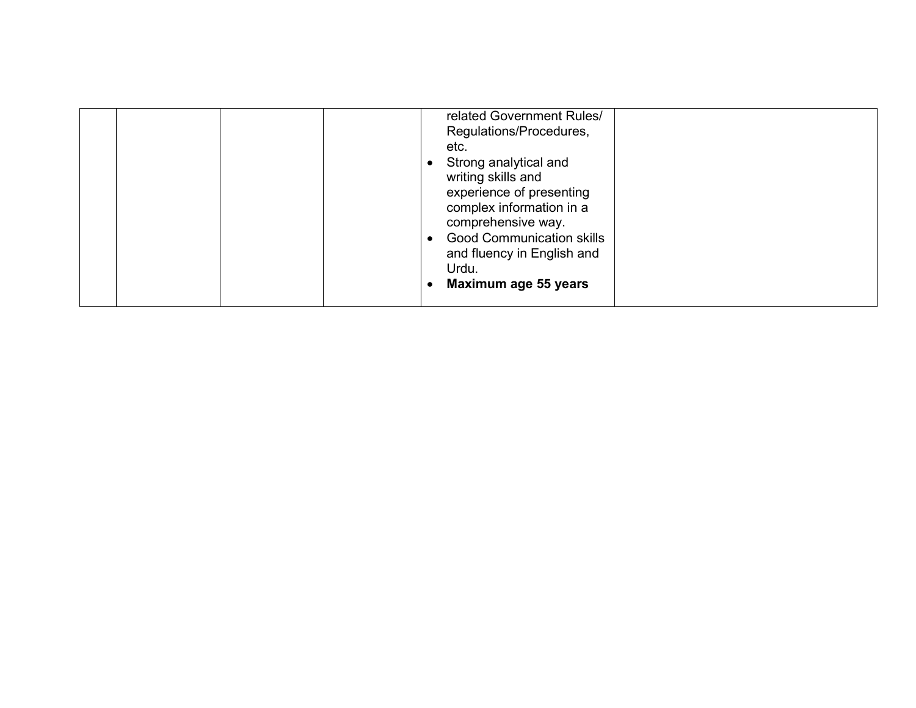|  | related Government Rules/<br>Regulations/Procedures,<br>etc.<br>Strong analytical and<br>writing skills and<br>experience of presenting<br>complex information in a<br>comprehensive way.<br><b>Good Communication skills</b><br>and fluency in English and<br>Urdu.<br>Maximum age 55 years |  |
|--|----------------------------------------------------------------------------------------------------------------------------------------------------------------------------------------------------------------------------------------------------------------------------------------------|--|
|--|----------------------------------------------------------------------------------------------------------------------------------------------------------------------------------------------------------------------------------------------------------------------------------------------|--|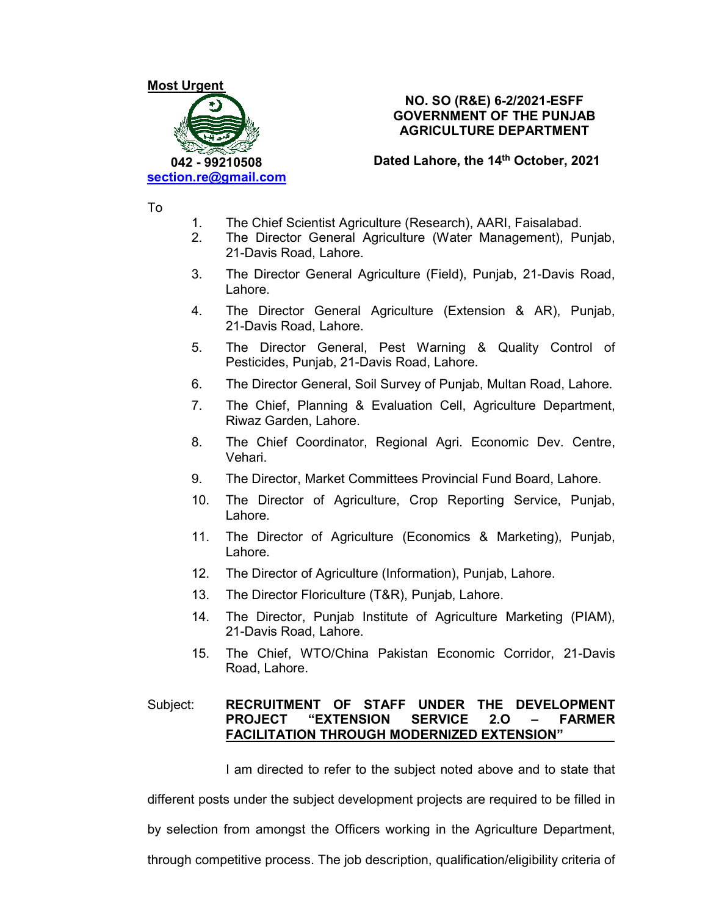

# **NO. SO (R&E) 6-2/2021-ESFF GOVERNMENT OF THE PUNJAB AGRICULTURE DEPARTMENT**

**Dated Lahore, the 14th October, 2021** 

To

- 1. The Chief Scientist Agriculture (Research), AARI, Faisalabad.
- 2. The Director General Agriculture (Water Management), Punjab, 21-Davis Road, Lahore.
- 3. The Director General Agriculture (Field), Punjab, 21-Davis Road, Lahore.
- 4. The Director General Agriculture (Extension & AR), Punjab, 21-Davis Road, Lahore.
- 5. The Director General, Pest Warning & Quality Control of Pesticides, Punjab, 21-Davis Road, Lahore.
- 6. The Director General, Soil Survey of Punjab, Multan Road, Lahore.
- 7. The Chief, Planning & Evaluation Cell, Agriculture Department, Riwaz Garden, Lahore.
- 8. The Chief Coordinator, Regional Agri. Economic Dev. Centre, Vehari.
- 9. The Director, Market Committees Provincial Fund Board, Lahore.
- 10. The Director of Agriculture, Crop Reporting Service, Punjab, Lahore.
- 11. The Director of Agriculture (Economics & Marketing), Punjab, Lahore.
- 12. The Director of Agriculture (Information), Punjab, Lahore.
- 13. The Director Floriculture (T&R), Punjab, Lahore.
- 14. The Director, Punjab Institute of Agriculture Marketing (PIAM), 21-Davis Road, Lahore.
- 15. The Chief, WTO/China Pakistan Economic Corridor, 21-Davis Road, Lahore.

# Subject: **RECRUITMENT OF STAFF UNDER THE DEVELOPMENT PROJECT "EXTENSION SERVICE 2.O – FARMER FACILITATION THROUGH MODERNIZED EXTENSION"**

I am directed to refer to the subject noted above and to state that

different posts under the subject development projects are required to be filled in

by selection from amongst the Officers working in the Agriculture Department,

through competitive process. The job description, qualification/eligibility criteria of